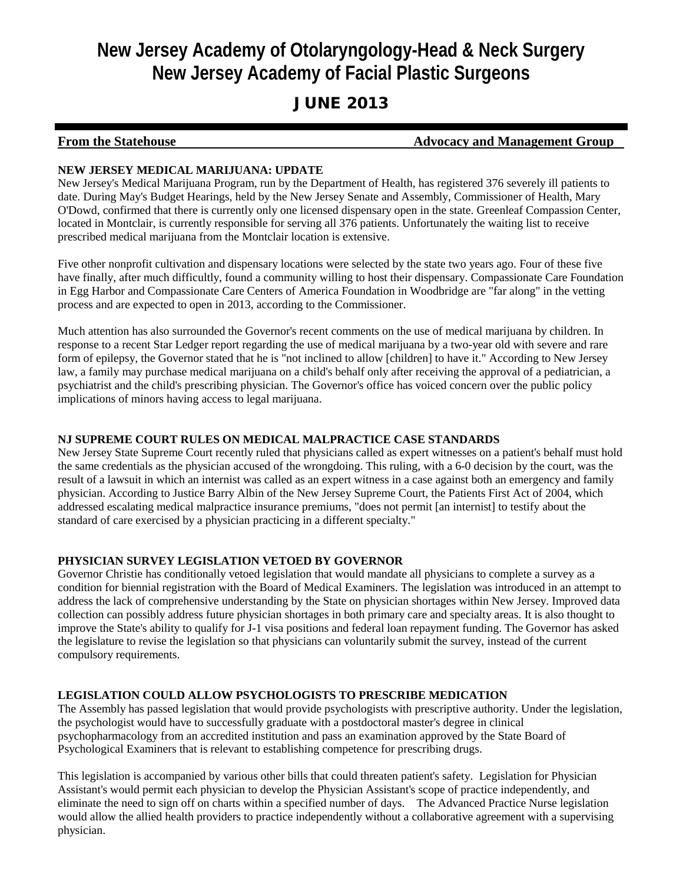# **New Jersey Academy of Otolaryngology-Head & Neck Surgery New Jersey Academy of Facial Plastic Surgeons**

## JUNE 2013

#### **From the Statehouse Advocacy and Management Group**

#### **NEW JERSEY MEDICAL MARIJUANA: UPDATE**

New Jersey's Medical Marijuana Program, run by the Department of Health, has registered 376 severely ill patients to date. During May's Budget Hearings, held by the New Jersey Senate and Assembly, Commissioner of Health, Mary O'Dowd, confirmed that there is currently only one licensed dispensary open in the state. Greenleaf Compassion Center, located in Montclair, is currently responsible for serving all 376 patients. Unfortunately the waiting list to receive prescribed medical marijuana from the Montclair location is extensive.

Five other nonprofit cultivation and dispensary locations were selected by the state two years ago. Four of these five have finally, after much difficultly, found a community willing to host their dispensary. Compassionate Care Foundation in Egg Harbor and Compassionate Care Centers of America Foundation in Woodbridge are "far along" in the vetting process and are expected to open in 2013, according to the Commissioner.

Much attention has also surrounded the Governor's recent comments on the use of medical marijuana by children. In response to a recent Star Ledger report regarding the use of medical marijuana by a two-year old with severe and rare form of epilepsy, the Governor stated that he is "not inclined to allow [children] to have it." According to New Jersey law, a family may purchase medical marijuana on a child's behalf only after receiving the approval of a pediatrician, a psychiatrist and the child's prescribing physician. The Governor's office has voiced concern over the public policy implications of minors having access to legal marijuana.

#### **NJ SUPREME COURT RULES ON MEDICAL MALPRACTICE CASE STANDARDS**

New Jersey State Supreme Court recently ruled that physicians called as expert witnesses on a patient's behalf must hold the same credentials as the physician accused of the wrongdoing. This ruling, with a 6-0 decision by the court, was the result of a lawsuit in which an internist was called as an expert witness in a case against both an emergency and family physician. According to Justice Barry Albin of the New Jersey Supreme Court, the Patients First Act of 2004, which addressed escalating medical malpractice insurance premiums, "does not permit [an internist] to testify about the standard of care exercised by a physician practicing in a different specialty."

#### **PHYSICIAN SURVEY LEGISLATION VETOED BY GOVERNOR**

Governor Christie has conditionally vetoed legislation that would mandate all physicians to complete a survey as a condition for biennial registration with the Board of Medical Examiners. The legislation was introduced in an attempt to address the lack of comprehensive understanding by the State on physician shortages within New Jersey. Improved data collection can possibly address future physician shortages in both primary care and specialty areas. It is also thought to improve the State's ability to qualify for J-1 visa positions and federal loan repayment funding. The Governor has asked the legislature to revise the legislation so that physicians can voluntarily submit the survey, instead of the current compulsory requirements.

#### **LEGISLATION COULD ALLOW PSYCHOLOGISTS TO PRESCRIBE MEDICATION**

The Assembly has passed legislation that would provide psychologists with prescriptive authority. Under the legislation, the psychologist would have to successfully graduate with a postdoctoral master's degree in clinical psychopharmacology from an accredited institution and pass an examination approved by the State Board of Psychological Examiners that is relevant to establishing competence for prescribing drugs.

This legislation is accompanied by various other bills that could threaten patient's safety. Legislation for Physician Assistant's would permit each physician to develop the Physician Assistant's scope of practice independently, and eliminate the need to sign off on charts within a specified number of days. The Advanced Practice Nurse legislation would allow the allied health providers to practice independently without a collaborative agreement with a supervising physician.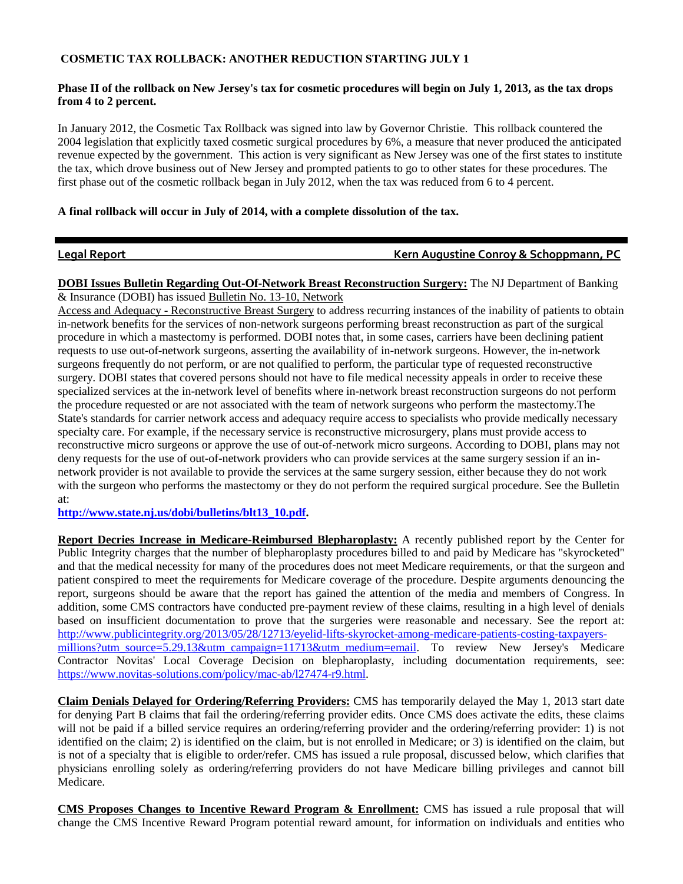#### **COSMETIC TAX ROLLBACK: ANOTHER REDUCTION STARTING JULY 1**

#### **Phase II of the rollback on New Jersey's tax for cosmetic procedures will begin on July 1, 2013, as the tax drops from 4 to 2 percent.**

In January 2012, the Cosmetic Tax Rollback was signed into law by Governor Christie. This rollback countered the 2004 legislation that explicitly taxed cosmetic surgical procedures by 6%, a measure that never produced the anticipated revenue expected by the government. This action is very significant as New Jersey was one of the first states to institute the tax, which drove business out of New Jersey and prompted patients to go to other states for these procedures. The first phase out of the cosmetic rollback began in July 2012, when the tax was reduced from 6 to 4 percent.

#### **A final rollback will occur in July of 2014, with a complete dissolution of the tax.**

#### **Legal Report Contract Contract Contract Contract Conroy & Schoppmann, PC**

**DOBI Issues Bulletin Regarding Out-Of-Network Breast Reconstruction Surgery:** The NJ Department of Banking & Insurance (DOBI) has issued Bulletin No. 13-10, Network

Access and Adequacy - Reconstructive Breast Surgery to address recurring instances of the inability of patients to obtain in-network benefits for the services of non-network surgeons performing breast reconstruction as part of the surgical procedure in which a mastectomy is performed. DOBI notes that, in some cases, carriers have been declining patient requests to use out-of-network surgeons, asserting the availability of in-network surgeons. However, the in-network surgeons frequently do not perform, or are not qualified to perform, the particular type of requested reconstructive surgery. DOBI states that covered persons should not have to file medical necessity appeals in order to receive these specialized services at the in-network level of benefits where in-network breast reconstruction surgeons do not perform the procedure requested or are not associated with the team of network surgeons who perform the mastectomy.The State's standards for carrier network access and adequacy require access to specialists who provide medically necessary specialty care. For example, if the necessary service is reconstructive microsurgery, plans must provide access to reconstructive micro surgeons or approve the use of out-of-network micro surgeons. According to DOBI, plans may not deny requests for the use of out-of-network providers who can provide services at the same surgery session if an innetwork provider is not available to provide the services at the same surgery session, either because they do not work with the surgeon who performs the mastectomy or they do not perform the required surgical procedure. See the Bulletin at:

**[http://www.state.nj.us/dobi/bulletins/blt13\\_10.pdf.](http://r20.rs6.net/tn.jsp?e=001DzowAmQR4Nck1_jOlWKFhoVa8x3eXHKEnNSarnfpHXAuR2NHs6Jl39TkOQHmciZGvmoIg5c__K-ivJRY7i2NIXcGFdHKPwv6ENPQZxCPT_WCn2pkuTwXjGV9LXst4nYEAQC1rbnebDRJo6sX6dq-UfIbintORBK3)** 

**Report Decries Increase in Medicare-Reimbursed Blepharoplasty:** A recently published report by the Center for Public Integrity charges that the number of blepharoplasty procedures billed to and paid by Medicare has "skyrocketed" and that the medical necessity for many of the procedures does not meet Medicare requirements, or that the surgeon and patient conspired to meet the requirements for Medicare coverage of the procedure. Despite arguments denouncing the report, surgeons should be aware that the report has gained the attention of the media and members of Congress. In addition, some CMS contractors have conducted pre-payment review of these claims, resulting in a high level of denials based on insufficient documentation to prove that the surgeries were reasonable and necessary. See the report at: [http://www.publicintegrity.org/2013/05/28/12713/eyelid-lifts-skyrocket-among-medicare-patients-costing-taxpayers](http://r20.rs6.net/tn.jsp?e=001DzowAmQR4NemSQjBpV15YYZFGu2aa_5BFj3fFBZe0e-E-6ujz_60oigwLn3FIOBtENjI3-VZVX8CvIFpwURMxfVGoiRf0zRa0PJDeRUb9a5g1lTwlg4nAwYDXV0qvu03d57lBsT3Q72-N7_6M51nhkJo1TjpBotNB9aeM8w4RVIUcrbWZyz2RLJepOfGRpdZXaeqqYNEREJtMKnhEHWzEoo3pCFforqorfJX3gQ6BOLav0Bwi1VCalQK-YO0AH6dvDyDVhQe2MX3MomItI6mtAKl9s1R5tb7rlCZjqePr4WoHB7THPd_3Hr9yEoVSLKbrjlUVEEooX9cUU-4b0duq-KiBK8j_6PC)[millions?utm\\_source=5.29.13&utm\\_campaign=11713&utm\\_medium=email.](http://r20.rs6.net/tn.jsp?e=001DzowAmQR4NemSQjBpV15YYZFGu2aa_5BFj3fFBZe0e-E-6ujz_60oigwLn3FIOBtENjI3-VZVX8CvIFpwURMxfVGoiRf0zRa0PJDeRUb9a5g1lTwlg4nAwYDXV0qvu03d57lBsT3Q72-N7_6M51nhkJo1TjpBotNB9aeM8w4RVIUcrbWZyz2RLJepOfGRpdZXaeqqYNEREJtMKnhEHWzEoo3pCFforqorfJX3gQ6BOLav0Bwi1VCalQK-YO0AH6dvDyDVhQe2MX3MomItI6mtAKl9s1R5tb7rlCZjqePr4WoHB7THPd_3Hr9yEoVSLKbrjlUVEEooX9cUU-4b0duq-KiBK8j_6PC) To review New Jersey's Medicare Contractor Novitas' Local Coverage Decision on blepharoplasty, including documentation requirements, see: [https://www.novitas-solutions.com/policy/mac-ab/l27474-r9.html.](http://r20.rs6.net/tn.jsp?e=001DzowAmQR4NeN8GG52pOCc80M0SjKwWwMyMKpNcPe7AOVbk_RlC2_9lGMQpb6SDbKbPkrmHI0DbsnkML5iEoXmg9Uwnqwl_WgK0XBhxfhV7fn7qDtTmpxLd_fgn1dbmqvvvVoM4M7XwJfDFgaAQL6I-BalI4vbJUzBFeNnP9Cok3--RFeOunHfQ==)

**Claim Denials Delayed for Ordering/Referring Providers:** CMS has temporarily delayed the May 1, 2013 start date for denying Part B claims that fail the ordering/referring provider edits. Once CMS does activate the edits, these claims will not be paid if a billed service requires an ordering/referring provider and the ordering/referring provider: 1) is not identified on the claim; 2) is identified on the claim, but is not enrolled in Medicare; or 3) is identified on the claim, but is not of a specialty that is eligible to order/refer. CMS has issued a rule proposal, discussed below, which clarifies that physicians enrolling solely as ordering/referring providers do not have Medicare billing privileges and cannot bill Medicare.

**CMS Proposes Changes to Incentive Reward Program & Enrollment:** CMS has issued a rule proposal that will change the CMS Incentive Reward Program potential reward amount, for information on individuals and entities who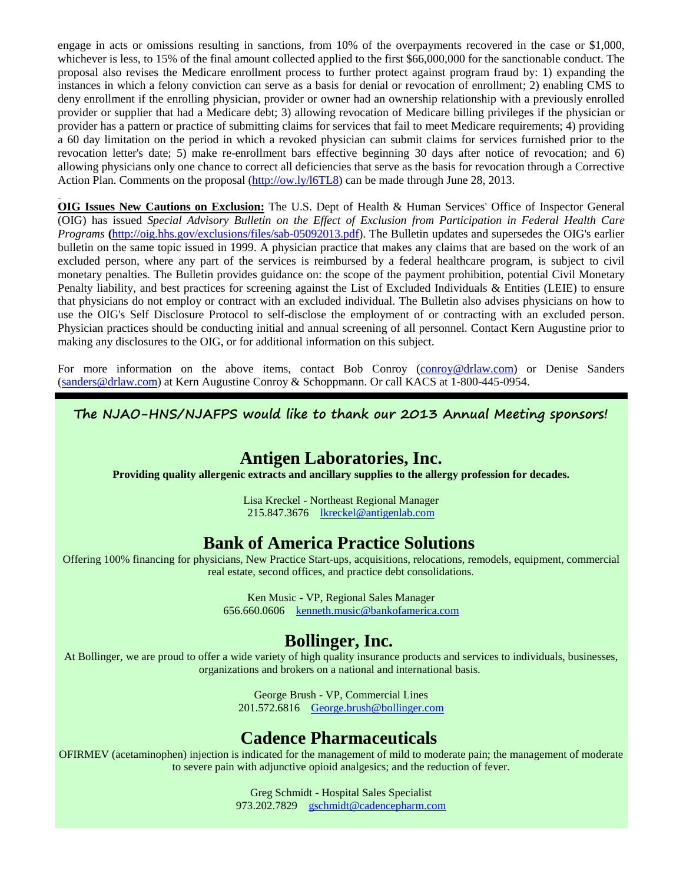engage in acts or omissions resulting in sanctions, from 10% of the overpayments recovered in the case or \$1,000, whichever is less, to 15% of the final amount collected applied to the first \$66,000,000 for the sanctionable conduct. The proposal also revises the Medicare enrollment process to further protect against program fraud by: 1) expanding the instances in which a felony conviction can serve as a basis for denial or revocation of enrollment; 2) enabling CMS to deny enrollment if the enrolling physician, provider or owner had an ownership relationship with a previously enrolled provider or supplier that had a Medicare debt; 3) allowing revocation of Medicare billing privileges if the physician or provider has a pattern or practice of submitting claims for services that fail to meet Medicare requirements; 4) providing a 60 day limitation on the period in which a revoked physician can submit claims for services furnished prior to the revocation letter's date; 5) make re-enrollment bars effective beginning 30 days after notice of revocation; and 6) allowing physicians only one chance to correct all deficiencies that serve as the basis for revocation through a Corrective Action Plan. Comments on the proposal [\(http://ow.ly/l6TL8\)](http://r20.rs6.net/tn.jsp?e=001DzowAmQR4NdUijKNhdHE14WHHCxfkW8IxFvU5sKjVtoU103gKjea7mN6S0ai3px7OBcdFXGGfbx1Fmhy9zBOVDVet7HN6-jo2Hizl8EjbGzQnYBKje46JA==) can be made through June 28, 2013.

**OIG Issues New Cautions on Exclusion:** The U.S. Dept of Health & Human Services' Office of Inspector General (OIG) has issued *Special Advisory Bulletin on the Effect of Exclusion from Participation in Federal Health Care Programs* **(**[http://oig.hhs.gov/exclusions/files/sab-05092013.pdf\)](http://r20.rs6.net/tn.jsp?e=001DzowAmQR4Ncuuw0xwYPL8qUnX7yP8WU-ctw5FmlLl0ud90JzeuJC2ADgNccZWHPdiTQV7GlFix54dEtmEKjoLaLNHNMemP497xpLJkktWgb8t0lfAlOpq49ZSbdTTGlKZpe4QhWg80tXWX0vmR1CDu2H1086v_pI). The Bulletin updates and supersedes the OIG's earlier bulletin on the same topic issued in 1999. A physician practice that makes any claims that are based on the work of an excluded person, where any part of the services is reimbursed by a federal healthcare program, is subject to civil monetary penalties. The Bulletin provides guidance on: the scope of the payment prohibition, potential Civil Monetary Penalty liability, and best practices for screening against the List of Excluded Individuals & Entities (LEIE) to ensure that physicians do not employ or contract with an excluded individual. The Bulletin also advises physicians on how to use the OIG's Self Disclosure Protocol to self-disclose the employment of or contracting with an excluded person. Physician practices should be conducting initial and annual screening of all personnel. Contact Kern Augustine prior to making any disclosures to the OIG, or for additional information on this subject.

For more information on the above items, contact Bob Conroy [\(conroy@drlaw.com\)](mailto:conroy@drlaw.com) or Denise Sanders [\(sanders@drlaw.com\)](mailto:sanders@drlaw.com) at Kern Augustine Conroy & Schoppmann. Or call KACS at 1-800-445-0954.

**The NJAO-HNS/NJAFPS would like to thank our 2013 Annual Meeting sponsors!**

## **Antigen Laboratories, Inc.**

**Providing quality allergenic extracts and ancillary supplies to the allergy profession for decades.**

Lisa Kreckel - Northeast Regional Manager 215.847.3676 [lkreckel@antigenlab.com](mailto:lkreckel@antigenlab.com)

## **Bank of America Practice Solutions**

Offering 100% financing for physicians, New Practice Start-ups, acquisitions, relocations, remodels, equipment, commercial real estate, second offices, and practice debt consolidations.

> Ken Music - VP, Regional Sales Manager 656.660.0606 [kenneth.music@bankofamerica.com](mailto:kenneth.music@bankofamerica.com)

## **Bollinger, Inc.**

At Bollinger, we are proud to offer a wide variety of high quality insurance products and services to individuals, businesses, organizations and brokers on a national and international basis.

> George Brush - VP, Commercial Lines 201.572.6816 [George.brush@bollinger.com](mailto:George.brush@bollinger.com)

## **Cadence Pharmaceuticals**

OFIRMEV (acetaminophen) injection is indicated for the management of mild to moderate pain; the management of moderate to severe pain with adjunctive opioid analgesics; and the reduction of fever.

> Greg Schmidt - Hospital Sales Specialist 973.202.7829 [gschmidt@cadencepharm.com](mailto:gschmidt@cadencepharm.com)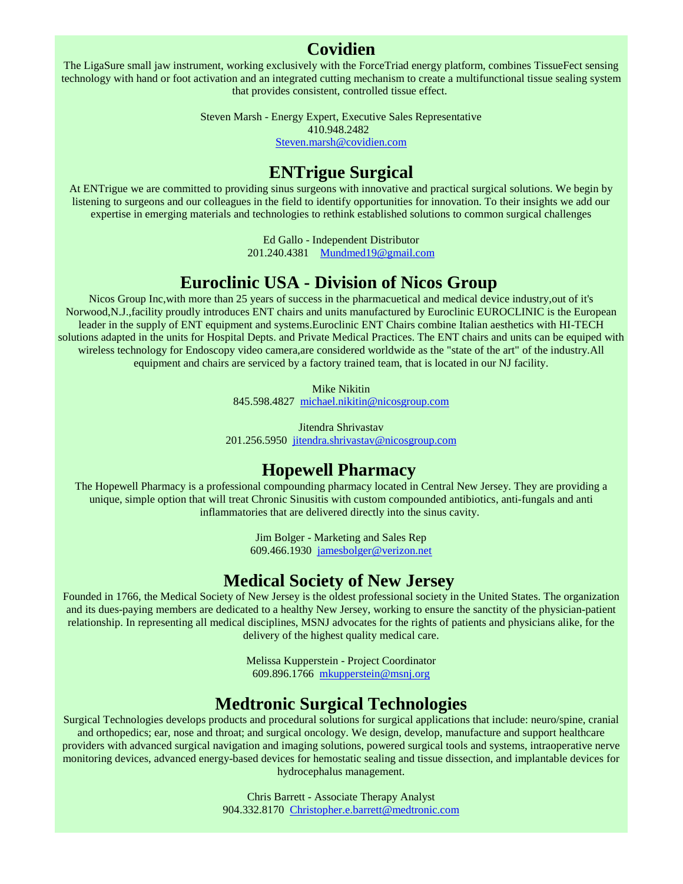#### **Covidien**

The LigaSure small jaw instrument, working exclusively with the ForceTriad energy platform, combines TissueFect sensing technology with hand or foot activation and an integrated cutting mechanism to create a multifunctional tissue sealing system that provides consistent, controlled tissue effect.

> Steven Marsh - Energy Expert, Executive Sales Representative 410.948.2482

> > [Steven.marsh@covidien.com](mailto:Steven.marsh@covidien.com)

## **ENTrigue Surgical**

At ENTrigue we are committed to providing sinus surgeons with innovative and practical surgical solutions. We begin by listening to surgeons and our colleagues in the field to identify opportunities for innovation. To their insights we add our expertise in emerging materials and technologies to rethink established solutions to common surgical challenges

Ed Gallo - Independent Distributor

201.240.4381 [Mundmed19@gmail.com](mailto:Mundmed19@gmail.com)

## **Euroclinic USA - Division of Nicos Group**

Nicos Group Inc,with more than 25 years of success in the pharmacuetical and medical device industry,out of it's Norwood,N.J.,facility proudly introduces ENT chairs and units manufactured by Euroclinic EUROCLINIC is the European leader in the supply of ENT equipment and systems.Euroclinic ENT Chairs combine Italian aesthetics with HI-TECH solutions adapted in the units for Hospital Depts. and Private Medical Practices. The ENT chairs and units can be equiped with wireless technology for Endoscopy video camera,are considered worldwide as the "state of the art" of the industry.All equipment and chairs are serviced by a factory trained team, that is located in our NJ facility.

> Mike Nikitin 845.598.4827 [michael.nikitin@nicosgroup.com](mailto:michael.nikitin@nicosgroup.com)

Jitendra Shrivastav 201.256.5950 [jitendra.shrivastav@nicosgroup.com](mailto:jitendra.shrivastav@nicosgroup.com)

## **Hopewell Pharmacy**

The Hopewell Pharmacy is a professional compounding pharmacy located in Central New Jersey. They are providing a unique, simple option that will treat Chronic Sinusitis with custom compounded antibiotics, anti-fungals and anti inflammatories that are delivered directly into the sinus cavity.

> Jim Bolger - Marketing and Sales Rep 609.466.1930 [jamesbolger@verizon.net](mailto:jamesbolger@verizon.net)

## **Medical Society of New Jersey**

Founded in 1766, the Medical Society of New Jersey is the oldest professional society in the United States. The organization and its dues-paying members are dedicated to a healthy New Jersey, working to ensure the sanctity of the physician-patient relationship. In representing all medical disciplines, MSNJ advocates for the rights of patients and physicians alike, for the delivery of the highest quality medical care.

> Melissa Kupperstein - Project Coordinator 609.896.1766 [mkupperstein@msnj.org](mailto:mkupperstein@msnj.org)

## **Medtronic Surgical Technologies**

Surgical Technologies develops products and procedural solutions for surgical applications that include: neuro/spine, cranial and orthopedics; ear, nose and throat; and surgical oncology. We design, develop, manufacture and support healthcare providers with advanced surgical navigation and imaging solutions, powered surgical tools and systems, intraoperative nerve monitoring devices, advanced energy-based devices for hemostatic sealing and tissue dissection, and implantable devices for hydrocephalus management.

> Chris Barrett - Associate Therapy Analyst 904.332.8170 [Christopher.e.barrett@medtronic.com](mailto:Christopher.e.barrett@medtronic.com)